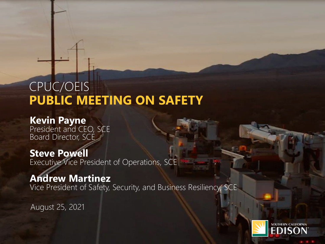## CPUC/OEIS **PUBLIC MEETING ON SAFETY**

### **Kevin Payne**

President and CEO, SCE Board Director, SCE

### **Steve Powell**

Executive Vice President of Operations, SCE

### **Andrew Martinez**

Vice President of Safety, Security, and Business Resiliency, SCE

August 25, 2021

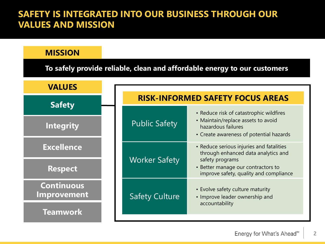#### **SAFETY IS INTEGRATED INTO OUR BUSINESS THROUGH OUR VALUES AND MISSION**

| <b>MISSION</b>                                                           |                                         |                                                                                                                                                |  |  |  |  |  |  |
|--------------------------------------------------------------------------|-----------------------------------------|------------------------------------------------------------------------------------------------------------------------------------------------|--|--|--|--|--|--|
| To safely provide reliable, clean and affordable energy to our customers |                                         |                                                                                                                                                |  |  |  |  |  |  |
| <b>VALUES</b>                                                            |                                         |                                                                                                                                                |  |  |  |  |  |  |
| <b>Safety</b>                                                            | <b>RISK-INFORMED SAFETY FOCUS AREAS</b> |                                                                                                                                                |  |  |  |  |  |  |
| <b>Integrity</b>                                                         | <b>Public Safety</b>                    | • Reduce risk of catastrophic wildfires<br>• Maintain/replace assets to avoid<br>hazardous failures<br>• Create awareness of potential hazards |  |  |  |  |  |  |
| <b>Excellence</b>                                                        | <b>Worker Safety</b>                    | • Reduce serious injuries and fatalities<br>through enhanced data analytics and<br>safety programs<br>• Better manage our contractors to       |  |  |  |  |  |  |
| <b>Respect</b>                                                           |                                         | improve safety, quality and compliance                                                                                                         |  |  |  |  |  |  |
| <b>Continuous</b><br>Improvement                                         | <b>Safety Culture</b>                   | • Evolve safety culture maturity<br>• Improve leader ownership and<br>accountability                                                           |  |  |  |  |  |  |
| <b>Teamwork</b>                                                          |                                         |                                                                                                                                                |  |  |  |  |  |  |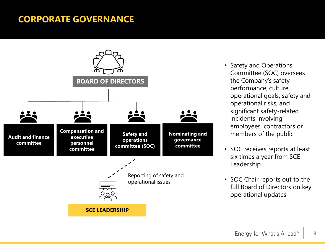#### **CORPORATE GOVERNANCE**



- Safety and Operations Committee (SOC) oversees the Company's safety performance, culture, operational goals, safety and operational risks, and significant safety-related incidents involving employees, contractors or members of the public
- SOC receives reports at least six times a year from SCE Leadership
- SOC Chair reports out to the full Board of Directors on key operational updates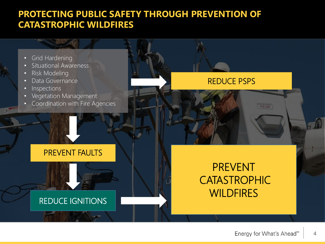### **PROTECTING PUBLIC SAFETY THROUGH PREVENTION OF CATASTROPHIC WILDFIRES**

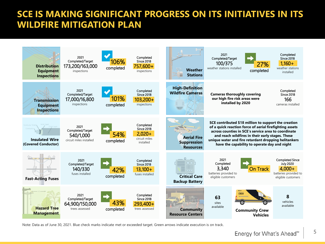### **SCE IS MAKING SIGNIFICANT PROGRESS ON ITS INITIATIVES IN ITS WILDFIRE MITIGATION PLAN**



Note: Data as of June 30, 2021. Blue check marks indicate met or exceeded target. Green arrows indicate execution is on track.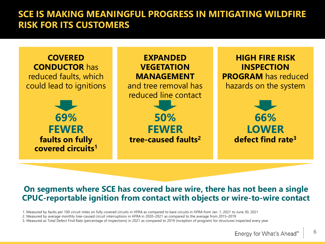### **SCE IS MAKING MEANINGFUL PROGRESS IN MITIGATING WILDFIRE RISK FOR ITS CUSTOMERS**



#### **On segments where SCE has covered bare wire, there has not been a single CPUC-reportable ignition from contact with objects or wire-to-wire contact**

1. Measured by faults per 100 circuit miles on fully covered circuits in HFRA as compared to bare circuits in HFRA from Jan. 1, 2021 to June 30, 2021

2. Measured by average monthly tree-caused circuit interruptions in HFRA in 2020–2021 as compared to the average from 2015–2019

3. Measured as Total Defect Find Rate (percentage of inspections) in 2021 as compared to 2019 (inception of program) for structures inspected every year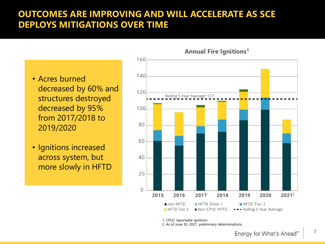### **OUTCOMES ARE IMPROVING AND WILL ACCELERATE AS SCE DEPLOYS MITIGATIONS OVER TIME**

- Acres burned decreased by 60% and structures destroyed decreased by 95% from 2017/2018 to 2019/2020
- Ignitions increased across system, but more slowly in HFTD



1. CPUC reportable ignitions 2. As of June 30, 2021, preliminary determinations.

**7**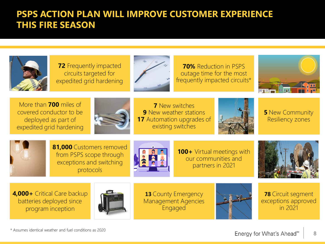### **PSPS ACTION PLAN WILL IMPROVE CUSTOMER EXPERIENCE THIS FIRE SEASON**



**4,000+** Critical Care backup batteries deployed since program inception



**13** County Emergency Management Agencies Engaged



**78** Circuit segment exceptions approved in 2021

\* Assumes identical weather and fuel conditions as 2020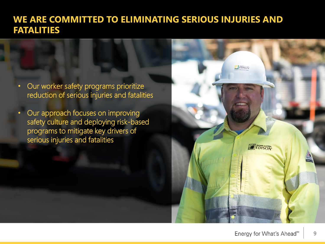#### **WE ARE COMMITTED TO ELIMINATING SERIOUS INJURIES AND FATALITIES**

- Our worker safety programs prioritize reduction of serious injuries and fatalities
- Our approach focuses on improving safety culture and deploying risk-based programs to mitigate key drivers of serious injuries and fatalities

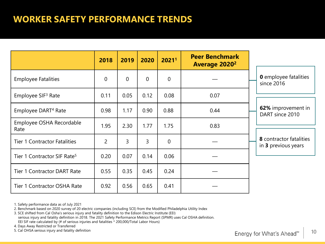### **WORKER SAFETY PERFORMANCE TRENDS**

|                                         | 2018           | 2019           | 2020           | 2021 <sup>1</sup> | <b>Peer Benchmark</b><br><b>Average 2020<sup>2</sup></b> |                                                |
|-----------------------------------------|----------------|----------------|----------------|-------------------|----------------------------------------------------------|------------------------------------------------|
| <b>Employee Fatalities</b>              | $\overline{0}$ | $\overline{0}$ | $\overline{0}$ | $\overline{0}$    |                                                          | <b>0</b> employee fatalities<br>since 2016     |
| Employee SIF <sup>3</sup> Rate          | 0.11           | 0.05           | 0.12           | 0.08              | 0.07                                                     |                                                |
| Employee DART <sup>4</sup> Rate         | 0.98           | 1.17           | 0.90           | 0.88              | 0.44                                                     | 62% improvement in<br>DART since 2010          |
| Employee OSHA Recordable<br>Rate        | 1.95           | 2.30           | 1.77           | 1.75              | 0.83                                                     |                                                |
| <b>Tier 1 Contractor Fatalities</b>     | 2              | $\mathsf{3}$   | 3              | $\overline{0}$    |                                                          | 8 contractor fatalities<br>in 3 previous years |
| Tier 1 Contractor SIF Rate <sup>5</sup> | 0.20           | 0.07           | 0.14           | 0.06              |                                                          |                                                |
| <b>Tier 1 Contractor DART Rate</b>      | 0.55           | 0.35           | 0.45           | 0.24              |                                                          |                                                |
| Tier 1 Contractor OSHA Rate             | 0.92           | 0.56           | 0.65           | 0.41              |                                                          |                                                |

1. Safety performance data as of July 2021

2. Benchmark based on 2020 survey of 20 electric companies (including SCE) from the Modified Philadelphia Utility Index

3. SCE shifted from Cal Osha's serious injury and fatality definition to the Edison Electric Institute (EEI) serious injury and fatality definition in 2018. The 2021 Safety Performance Metrics Report (SPMR) uses Cal OSHA definition. EEI SIF rate calculated by (# of serious injuries and fatalities \* 200,000/Total Labor Hours)

4. Days Away Restricted or Transferred

5. Cal OHSA serious injury and fatality definition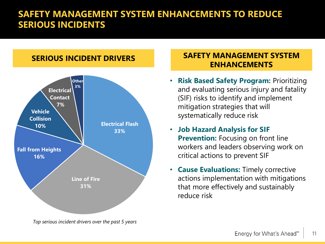### **SAFETY MANAGEMENT SYSTEM ENHANCEMENTS TO REDUCE SERIOUS INCIDENTS**

### **Electrical Flash 33% Line of Fire 31% Fall from Heights 16% Vehicle Collision 10% Electrical Contact 7% Other 3%**

*Top serious incident drivers over the past 5 years* 

#### **SERIOUS INCIDENT DRIVERS SAFETY MANAGEMENT SYSTEM ENHANCEMENTS**

- **Risk Based Safety Program:** Prioritizing and evaluating serious injury and fatality (SIF) risks to identify and implement mitigation strategies that will systematically reduce risk
- **Job Hazard Analysis for SIF Prevention:** Focusing on front line workers and leaders observing work on critical actions to prevent SIF
- **Cause Evaluations:** Timely corrective actions implementation with mitigations that more effectively and sustainably reduce risk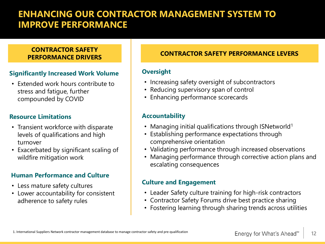### **ENHANCING OUR CONTRACTOR MANAGEMENT SYSTEM TO IMPROVE PERFORMANCE**

## **CONTRACTOR SAFETY**

#### **Significantly Increased Work Volume**

• Extended work hours contribute to stress and fatigue, further compounded by COVID

#### **Resource Limitations**

- Transient workforce with disparate levels of qualifications and high turnover
- Exacerbated by significant scaling of wildfire mitigation work

#### **Human Performance and Culture**

- Less mature safety cultures
- Lower accountability for consistent adherence to safety rules

#### **PERFORMANCE DRIVERS CONTRACTOR SAFETY PERFORMANCE LEVERS**

#### **Oversight**

- Increasing safety oversight of subcontractors
- Reducing supervisory span of control
- Enhancing performance scorecards

#### **Accountability**

- Managing initial qualifications through ISNetworld<sup>1</sup>
- Establishing performance expectations through comprehensive orientation
- Validating performance through increased observations
- Managing performance through corrective action plans and escalating consequences

#### **Culture and Engagement**

- Leader Safety culture training for high-risk contractors
- Contractor Safety Forums drive best practice sharing
- Fostering learning through sharing trends across utilities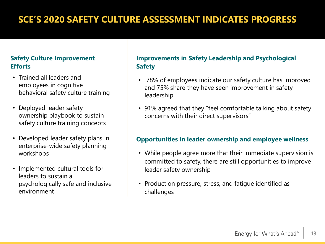### **SCE'S 2020 SAFETY CULTURE ASSESSMENT INDICATES PROGRESS**

#### **Safety Culture Improvement Efforts**

- Trained all leaders and employees in cognitive behavioral safety culture training
- Deployed leader safety ownership playbook to sustain safety culture training concepts
- Developed leader safety plans in enterprise-wide safety planning workshops
- Implemented cultural tools for leaders to sustain a psychologically safe and inclusive environment

#### **Improvements in Safety Leadership and Psychological Safety**

- 78% of employees indicate our safety culture has improved and 75% share they have seen improvement in safety leadership
- 91% agreed that they "feel comfortable talking about safety concerns with their direct supervisors"

#### **Opportunities in leader ownership and employee wellness**

- While people agree more that their immediate supervision is committed to safety, there are still opportunities to improve leader safety ownership
- Production pressure, stress, and fatigue identified as challenges